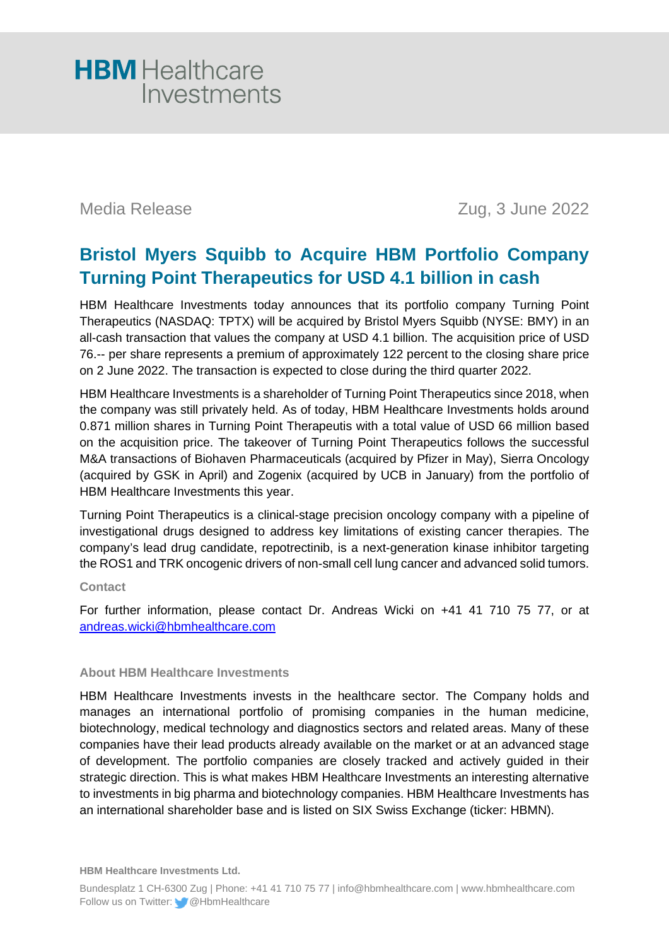

Media Release Zug, 3 June 2022

## **Bristol Myers Squibb to Acquire HBM Portfolio Company Turning Point Therapeutics for USD 4.1 billion in cash**

HBM Healthcare Investments today announces that its portfolio company Turning Point Therapeutics (NASDAQ: TPTX) will be acquired by Bristol Myers Squibb (NYSE: BMY) in an all-cash transaction that values the company at USD 4.1 billion. The acquisition price of USD 76.-- per share represents a premium of approximately 122 percent to the closing share price on 2 June 2022. The transaction is expected to close during the third quarter 2022.

HBM Healthcare Investments is a shareholder of Turning Point Therapeutics since 2018, when the company was still privately held. As of today, HBM Healthcare Investments holds around 0.871 million shares in Turning Point Therapeutis with a total value of USD 66 million based on the acquisition price. The takeover of Turning Point Therapeutics follows the successful M&A transactions of Biohaven Pharmaceuticals (acquired by Pfizer in May), Sierra Oncology (acquired by GSK in April) and Zogenix (acquired by UCB in January) from the portfolio of HBM Healthcare Investments this year.

Turning Point Therapeutics is a clinical-stage precision oncology company with a pipeline of investigational drugs designed to address key limitations of existing cancer therapies. The company's lead drug candidate, repotrectinib, is a next-generation kinase inhibitor targeting the ROS1 and TRK oncogenic drivers of non-small cell lung cancer and advanced solid tumors.

### **Contact**

For further information, please contact Dr. Andreas Wicki on +41 41 710 75 77, or at [andreas.wicki@hbmhealthcare.com](mailto:andreas.wicki@hbmhealthcare.com)

### **About HBM Healthcare Investments**

HBM Healthcare Investments invests in the healthcare sector. The Company holds and manages an international portfolio of promising companies in the human medicine, biotechnology, medical technology and diagnostics sectors and related areas. Many of these companies have their lead products already available on the market or at an advanced stage of development. The portfolio companies are closely tracked and actively guided in their strategic direction. This is what makes HBM Healthcare Investments an interesting alternative to investments in big pharma and biotechnology companies. HBM Healthcare Investments has an international shareholder base and is listed on SIX Swiss Exchange (ticker: HBMN).

**HBM Healthcare Investments Ltd.**